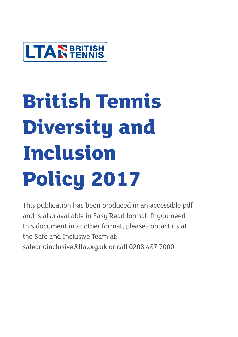

# **British Tennis Diversity and Inclusion Policy 2017**

This publication has been produced in an accessible pdf and is also available in Easy Read format. If you need this document in another format, please contact us at the Safe and Inclusive Team at:

safeandinclusive@lta.org.uk or call 0208 487 7000.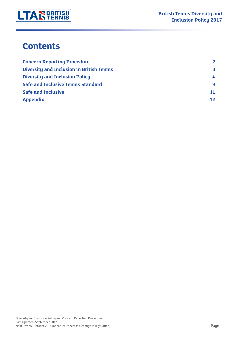

### **Contents**

| <b>Concern Reporting Procedure</b>               | $\mathbf{2}$ |
|--------------------------------------------------|--------------|
| <b>Diversity and Inclusion in British Tennis</b> | $\mathbf{3}$ |
| <b>Diversity and Inclusion Policy</b>            | 4            |
| <b>Safe and Inclusive Tennis Standard</b>        | q            |
| <b>Safe and Inclusive</b>                        | 11           |
| <b>Appendix</b>                                  | 12           |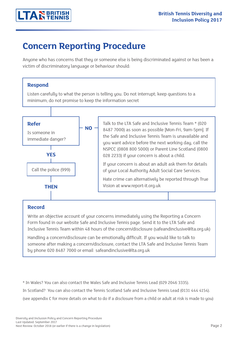### **Concern Reporting Procedure**

Anyone who has concerns that they or someone else is being discriminated against or has been a victim of discriminatory language or behaviour should:

#### **Respond**

Listen carefully to what the person is telling you. Do not interrupt; keep questions to a minimum; do not promise to keep the information secret



#### **Record**

Write an objective account of your concerns immediately using the Reporting a Concern Form found in our website Safe and Inclusive Tennis page. Send it to the LTA Safe and Inclusive Tennis Team within 48 hours of the concern/disclosure (safeandinclusive@lta.org.uk)

Handling a concern/disclosure can be emotionally difficult. If you would like to talk to someone after making a concern/disclosure, contact the LTA Safe and Inclusive Tennis Team by phone 020 8487 7000 or email safeandinclusive@lta.org.uk

\* In Wales? You can also contact the Wales Safe and Inclusive Tennis Lead (029 2046 3335).

In Scotland? You can also contact the Tennis Scotland Safe and Inclusive Tennis Lead (0131 444 4154).

(see appendix C for more details on what to do if a disclosure from a child or adult at risk is made to you)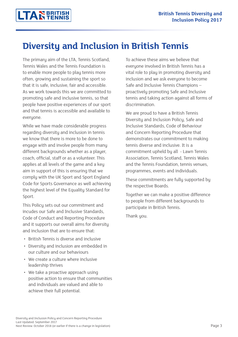# **Diversity and Inclusion in British Tennis**

The primary aim of the LTA, Tennis Scotland, Tennis Wales and the Tennis Foundation is to enable more people to play tennis more often, growing and sustaining the sport so that it is safe, inclusive, fair and accessible. As we work towards this we are committed to promoting safe and inclusive tennis, so that people have positive experiences of our sport and that tennis is accessible and available to everyone.

While we have made considerable progress regarding diversity and inclusion in tennis we know that there is more to be done to engage with and involve people from many different backgrounds whether as a player, coach, official, staff or as a volunteer. This applies at all levels of the game and a key aim in support of this is ensuring that we comply with the UK Sport and Sport England Code for Sports Governance as well achieving the highest level of the Equality Standard for Sport.

This Policy sets out our commitment and incudes our Safe and Inclusive Standards, Code of Conduct and Reporting Procedure and it supports our overall aims for diversity and inclusion that are to ensure that:

- British Tennis is diverse and inclusive
- Diversity and inclusion are embedded in our culture and our behaviours
- We create a culture where inclusive leadership thrives
- We take a proactive approach using positive action to ensure that communities and individuals are valued and able to achieve their full potential.

To achieve these aims we believe that everyone involved in British Tennis has a vital role to play in promoting diversity and inclusion and we ask everyone to become Safe and Inclusive Tennis Champions – proactively promoting Safe and Inclusive tennis and taking action against all forms of discrimination.

We are proud to have a British Tennis Diversity and Inclusion Policy, Safe and Inclusive Standards, Code of Behaviour and Concern Reporting Procedure that demonstrates our commitment to making tennis diverse and inclusive. It is a commitment upheld by all - Lawn Tennis Association, Tennis Scotland, Tennis Wales and the Tennis Foundation, tennis venues, programmes, events and individuals.

These commitments are fully supported by the respective Boards.

Together we can make a positive difference to people from different backgrounds to participate in British Tennis.

Thank you.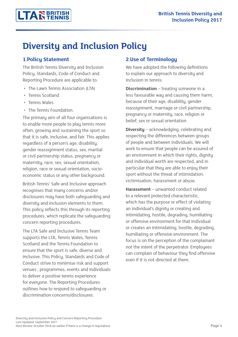# **Diversity and Inclusion Policy**

#### **1.Policy Statement**

The British Tennis Diversity and Inclusion Policy, Standards, Code of Conduct and Reporting Procedure are applicable to:

- The Lawn Tennis Association (LTA)
- Tennis Scotland
- Tennis Wales
- The Tennis Foundation.

The primaru aim of all four organisations is to enable more people to play tennis more often, growing and sustaining the sport so that it is safe, inclusive, and fair. This applies regardless of a person's age, disability, gender reassignment status, sex, marital or civil partnership status, pregnancy or maternity, race, sex, sexual orientation, religion, race or sexual orientation, socioeconomic status or any other background.

British Tennis' Safe and Inclusive approach recognises that many concerns and/or disclosures may have both safeguarding and diversity and inclusion elements to them. This policy reflects this through its reporting procedures, which replicate the safeguarding concern reporting procedures.

The LTA Safe and Inclusive Tennis Team supports the LTA, Tennis Wales, Tennis Scotland and the Tennis Foundation to ensure that the sport is safe, diverse and inclusive. This Policy, Standards and Code of Conduct strive to minimise risk and support venues , programmes, events and individuals to deliver a positive tennis experience for everyone. The Reporting Procedures outlines how to respond to safeguarding or discrimination concerns/disclosures.

#### **2.Use of Terminology**

We have adopted the following definitions to explain our approach to diversity and inclusion in tennis:

**Discrimination** – treating someone in a less favourable way and causing them harm, because of their age, disability, gender reassignment, marriage or civil partnership, pregnancy or maternity, race, religion or belief, sex or sexual orientation

**Diversity** – acknowledging, celebrating and respecting the differences between groups of people and between individuals. We will work to ensure that people can be assured of an environment in which their rights, dignity and individual worth are respected, and in particular that they are able to enjoy their sport without the threat of intimidation, victimisation, harassment or abuse.

**Harassment** – unwanted conduct related to a relevant protected characteristic, which has the purpose or effect of violating an individual's dignity or creating and intimidating, hostile, degrading, humiliating or offensive environment for that individual or creates an intimidating, hostile, degrading, humiliating or offensive environment. The focus is on the perception of the complainant not the intent of the perpetrator. Employees can complain of behaviour they find offensive even if it is not directed at them.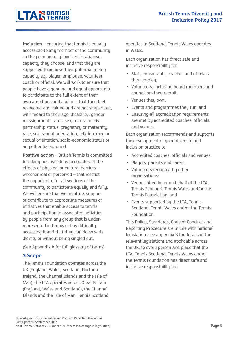**Inclusion** – ensuring that tennis is equally accessible to any member of the community so they can be fully involved in whatever capacity they choose; and that they are supported to achieve their potential in any capacity e.g. player, employee, volunteer, coach or official. We will work to ensure that people have a genuine and equal opportunity to participate to the full extent of their own ambitions and abilities, that they feel respected and valued and are not singled out, with regard to their age, disability, gender reassignment status, sex, marital or civil partnership status, pregnancy or maternity, race, sex, sexual orientation, religion, race or sexual orientation, socio-economic status or any other background.

**LTARERITISH** 

**Positive action** – British Tennis is committed to taking positive steps to counteract the effects of physical or cultural barriers – whether real or perceived – that restrict the opportunity for all sections of the community to participate equally and fully. We will ensure that we institute, support or contribute to appropriate measures or initiatives that enable access to tennis and participation in associated activities by people from any group that is underrepresented in tennis or has difficulty accessing it and that they can do so with dignity or without being singled out.

(See Appendix A for full glossary of terms)

#### **3.Scope**

The Tennis Foundation operates across the UK (England, Wales, Scotland, Northern Ireland, the Channel Islands and the Isle of Man); the LTA operates across Great Britain (England, Wales and Scotland), the Channel Islands and the Isle of Man; Tennis Scotland operates in Scotland; Tennis Wales operates in Wales.

Each organisation has direct safe and inclusive responsibility for:

- Staff, consultants, coaches and officials they employ;
- Volunteers, including board members and councillors they recruit;
- Venues they own;
- Events and programmes they run; and
- Ensuring all accreditation requirements are met by accredited coaches, officials and venues.

Each organisation recommends and supports the development of good diversity and inclusion practice to:

- Accredited coaches, officials and venues;
- Players, parents and carers;
- Volunteers recruited by other organisations;
- Venues hired by or on behalf of the LTA, Tennis Scotland, Tennis Wales and/or the Tennis Foundation; and
- Events supported by the LTA, Tennis Scotland, Tennis Wales and/or the Tennis Foundation.

This Policy, Standards, Code of Conduct and Reporting Procedure are in line with national legislation (see appendix B for details of the relevant legislation) and applicable across the UK, to every person and place that the LTA, Tennis Scotland, Tennis Wales and/or the Tennis Foundation has direct safe and inclusive responsibility for.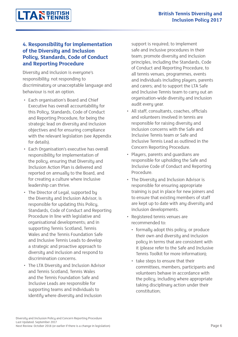# **LTAR BRITISH**

#### **4. Responsibility for implementation of the Diversity and Inclusion Policy, Standards, Code of Conduct and Reporting Procedure**

Diversity and inclusion is everyone's responsibility: not responding to discriminatory or unacceptable language and behaviour is not an option.

- Each organisation's Board and Chief Executive has overall accountability for this Policy, Standards, Code of Conduct and Reporting Procedure, for being the strategic lead on diversity and inclusion objectives and for ensuring compliance with the relevant legislation (see Appendix for details).
- Each Organisation's executive has overall responsibility for implementation of the policy, ensuring that Diversity and Inclusion Action Plan is delivered and reported on annually to the Board, and for creating a culture where inclusive leadership can thrive.
- The Director of Legal, supported by the Diversity and Inclusion Advisor, is responsible for updating this Policy, Standards, Code of Conduct and Reporting Procedure in line with legislative and organisational developments; and in supporting Tennis Scotland, Tennis Wales and the Tennis Foundation Safe and Inclusive Tennis Leads to develop a strategic and proactive approach to diversity and inclusion and respond to discrimination concerns.
- The LTA Diversity and Inclusion Advisor and Tennis Scotland, Tennis Wales and the Tennis Foundation Safe and Inclusive Leads are responsible for supporting teams and individuals to identify where diversity and inclusion

support is required; to implement safe and inclusive procedures in their team; promote diversity and inclusion principles, including the Standards, Code of Conduct and Reporting Procedure, to all tennis venues, programmes, events and individuals including players, parents and carers; and to support the LTA Safe and Inclusive Tennis team to carry out an organisation-wide diversity and inclusion audit every year.

- All staff, consultants, coaches, officials and volunteers involved in tennis are responsible for raising diversity and inclusion concerns with the Safe and Inclusive Tennis team or Safe and Inclusive Tennis Lead as outlined in the Concern Reporting Procedure.
- Players, parents and guardians are responsible for upholding the Safe and Inclusive Code of Conduct and Reporting Procedure.
- The Diversity and Inclusion Advisor is responsible for ensuring appropriate training is put in place for new joiners and to ensure that existing members of staff are kept up to date with any diversity and inclusion developments.
- Registered tennis venues are recommended to:
	- formally adopt this policy, or produce their own and diversity and inclusion policy in terms that are consistent with it (please refer to the Safe and Inclusive Tennis Toolkit for more information);
	- take steps to ensure that their committees, members, participants and volunteers behave in accordance with the policy, including where appropriate taking disciplinary action under their constitution;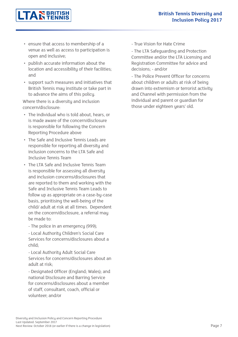

- ensure that access to membership of a venue as well as access to participation is open and inclusive;
- publish accurate information about the location and accessibility of their facilities; and
- support such measures and initiatives that British Tennis may institute or take part in to advance the aims of this policy.

Where there is a diversity and inclusion concern/disclosure:

- The individual who is told about, hears, or is made aware of the concern/disclosure is responsible for following the Concern Reporting Procedure above
- The Safe and Inclusive Tennis Leads are responsible for reporting all diversity and inclusion concerns to the LTA Safe and Inclusive Tennis Team
- The LTA Safe and Inclusive Tennis Team is responsible for assessing all diversity and inclusion concerns/disclosures that are reported to them and working with the Safe and Inclusive Tennis Team Leads to follow up as appropriate on a case-by-case basis, prioritising the well-being of the child/ adult at risk at all times. Dependent on the concern/disclosure, a referral may be made to:
	- The police in an emergency (999);

- Local Authority Children's Social Care Services for concerns/disclosures about a child;

- Local Authority Adult Social Care Services for concerns/disclosures about an adult at risk;

- Designated Officer (England; Wales); and national Disclosure and Barring Service for concerns/disclosures about a member of staff, consultant, coach, official or volunteer; and/or

- True Vision for Hate Crime

- The LTA Safeguarding and Protection Committee and/or the LTA Licensing and Registration Committee for advice and decisions; - and/or

- The Police Prevent Officer for concerns about children or adults at risk of being drawn into extremism or terrorist activity and Channel with permission from the individual and parent or guardian for those under eighteen years' old.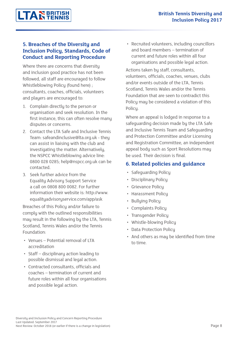#### **5. Breaches of the Diversity and Inclusion Policy, Standards, Code of Conduct and Reporting Procedure**

Where there are concerns that diversity and inclusion good practice has not been followed, all staff are encouraged to follow Whistleblowing Policy (found here) ; consultants, coaches, officials, volunteers and players are encouraged to:

- 1. Complain directly to the person or organisation and seek resolution. In the first instance, this can often resolve many disputes or concerns.
- 2. Contact the LTA Safe and Inclusive Tennis Team: safeandinclusive@lta.org.uk - they can assist in liaising with the club and investigating the matter. Alternatively, the NSPCC Whistleblowing advice line: 0800 028 0285; help@nspcc.org.uk can be contacted.
- 3. Seek further advice from the Equality Advisory Support Service a call on 0808 800 0082. For further information their website is: http://www. equalityadvisoryservice.com/app/ask

Breaches of this Policy and/or failure to comply with the outlined responsibilities may result in the following by the LTA, Tennis Scotland, Tennis Wales and/or the Tennis Foundation:

- Venues Potential removal of LTA accreditation
- Staff disciplinary action leading to possible dismissal and legal action.
- Contracted consultants, officials and coaches – termination of current and future roles within all four organisations and possible legal action.

• Recruited volunteers, including councillors and board members – termination of current and future roles within all four organisations and possible legal action.

Actions taken by staff, consultants, volunteers, officials, coaches, venues, clubs and/or events outside of the LTA, Tennis Scotland, Tennis Wales and/or the Tennis Foundation that are seen to contradict this Policy may be considered a violation of this Policy.

Where an appeal is lodged in response to a safeguarding decision made by the LTA Safe and Inclusive Tennis Team and Safeguarding and Protection Committee and/or Licensing and Registration Committee, an independent appeal body such as Sport Resolutions may be used. Their decision is final.

#### **6. Related policies and guidance**

- Safeguarding Policy
- Disciplinary Policy
- Grievance Policy
- Harassment Policy
- Bullying Policy
- Complaints Policy
- Transgender Policy
- Whistle-blowing Policy
- Data Protection Policy
- And others as may be identified from time to time.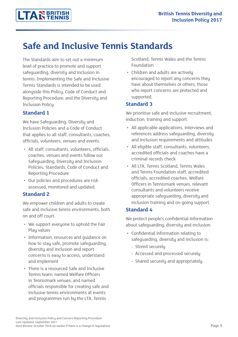# **Safe and Inclusive Tennis Standards**

The Standards aim to set out a minimum level of practice to promote and support safeguarding, diversity and inclusion in tennis. Implementing the Safe and Inclusive Tennis Standards is intended to be used alongside this Policy, Code of Conduct and Reporting Procedure; and the Diversity and Inclusion Policy.

#### **Standard 1**

We have Safeguarding, Diversity and Inclusion Policies and a Code of Conduct that applies to all staff, consultants, coaches, officials, volunteers, venues and events.

- All staff, consultants, volunteers, officials, coaches, venues and events follow our Safeguarding, Diversity and Inclusion Policies, Standards, Code of Conduct and Reporting Procedure
- Our policies and procedures are risk assessed, monitored and updated.

#### **Standard 2**

We empower children and adults to create safe and inclusive tennis environments, both on and off court.

- We support everyone to uphold the Fair Plau values
- Information, resources and guidance on how to stay safe, promote safeguarding, diversity and inclusion and report concerns is easy to access, understand and implement
- There is a resourced Safe and Inclusive Tennis team; named Welfare Officers in Tennismark venues; and named officials responsible for creating safe and inclusive tennis environments at events and programmes run by the LTA, Tennis

Scotland, Tennis Wales and the Tennis Foundation

• Children and adults are actively encouraged to report any concerns they have about themselves or others; those who report concerns are protected and supported.

#### **Standard 3**

We prioritise safe and inclusive recruitment, induction, training and support.

- All applicable applications, interviews and references address safeguarding, diversity and inclusion requirements and attitudes
- All eligible staff, consultants, volunteers, accredited officials and coaches have a criminal records check
- All LTA, Tennis Scotland, Tennis Wales and Tennis Foundation staff, accredited officials, accredited coaches, Welfare Officers in Tennismark venues, relevant consultants and volunteers receive appropriate safeguarding, diversity and inclusion training and on-going support.

#### **Standard 4**

We protect people's confidential information about safeguarding, diversity and inclusion.

- Confidential information relating to safeguarding, diversity and inclusion is:
	- Stored securely
	- Accessed and processed securely
	- Shared securely and appropriately.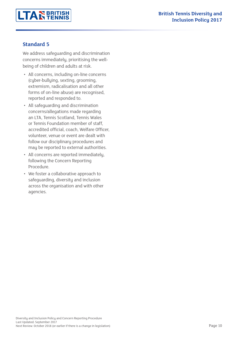

#### **Standard 5**

We address safeguarding and discrimination concerns immediately, prioritising the wellbeing of children and adults at risk.

- All concerns, including on-line concerns (cyber-bullying, sexting, grooming, extremism, radicalisation and all other forms of on-line abuse) are recognised, reported and responded to.
- All safeguarding and discrimination concerns/allegations made regarding an LTA, Tennis Scotland, Tennis Wales or Tennis Foundation member of staff, accredited official, coach, Welfare Officer, volunteer, venue or event are dealt with follow our disciplinary procedures and may be reported to external authorities.
- All concerns are reported immediately, following the Concern Reporting Procedure.
- We foster a collaborative approach to safeguarding, diversity and inclusion across the organisation and with other agencies.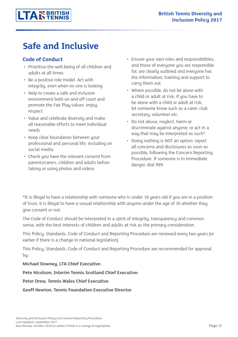# **Safe and Inclusive**

#### **Code of Conduct**

- Prioritise the well-being of all children and adults at all times
- Be a positive role model. Act with integrity, even when no one is looking
- Help to create a safe and inclusive environment both on and off court and promote the Fair Play values: enjoy; respect
- Value and celebrate diversity and make all reasonable efforts to meet individual needs
- Keep clear boundaries between your professional and personal life, including on social media
- Check you have the relevant consent from parents/carers, children and adults before taking or using photos and videos
- Ensure your own roles and responsibilities, and those of everyone you are responsible for, are clearly outlined and everyone has the information, training and support to carry them out
- Where possible, do not be alone with a child or adult at risk; if you have to be alone with a child or adult at risk; let someone know such as a carer, club secretary, volunteer etc.
- Do not abuse, neglect, harm or discriminate against anyone; or act in a way that may be interpreted as such\*
- Doing nothing is NOT an option: report all concerns and disclosures as soon as possible, following the Concern Reporting Procedure. If someone is in immediate danger, dial 999.

\*It is illegal to have a relationship with someone who is under 18 years old if you are in a position of trust; it is illegal to have a sexual relationship with anyone under the age of 16 whether they give consent or not.

The Code of Conduct should be interpreted in a spirit of integrity, transparency and common sense, with the best interests of children and adults at risk as the primary consideration.

This Policy, Standards, Code of Conduct and Reporting Procedure are reviewed every two years [or earlier if there is a change in national legislation].

This Policy, Standards, Code of Conduct and Reporting Procedure are recommended for approval by:

#### **Michael Downey, LTA Chief Executive:**

**Pete Nicolson, Interim Tennis Scotland Chief Executive:** 

**Peter Drew, Tennis Wales Chief Executive:**

**Geoff Newton, Tennis Foundation Executive Director**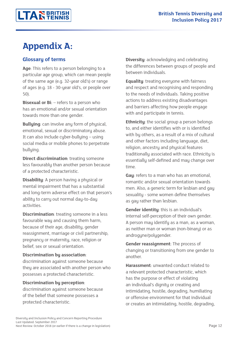# **Appendix A:**

#### **Glossary of terms**

**Age**: This refers to a person belonging to a particular age group, which can mean people of the same age (e.g. 32-year old's) or range of ages (e.g. 18 - 30-year old's, or people over 50).

**Bisexual or Bi**:  $-$  refers to a person who has an emotional and/or sexual orientation towards more than one gender.

**Bullying**: can involve any form of physical, emotional, sexual or discriminatory abuse. It can also include cyber-bullying – using social media or mobile phones to perpetrate bullying.

**Direct discrimination**: treating someone less favourably than another person because of a protected characteristic.

**Disability**: A person having a physical or mental impairment that has a substantial and long-term adverse effect on that person's ability to carry out normal day-to-day activities.

**Discrimination**: treating someone in a less favourable way and causing them harm, because of their age, disability, gender reassignment, marriage or civil partnership, pregnancy or maternity, race, religion or belief, sex or sexual orientation.

#### **Discrimination by association**:

discrimination against someone because they are associated with another person who possesses a protected characteristic.

#### **Discrimination by perception**:

discrimination against someone because of the belief that someone possesses a protected characteristic.

**Diversity**: acknowledging and celebrating the differences between groups of people and between individuals.

**Equality**: treating everyone with fairness and respect and recognising and responding to the needs of individuals. Taking positive actions to address existing disadvantages and barriers affecting how people engage with and participate in tennis.

**Ethnicity**: the social group a person belongs to, and either identifies with or is identified with by others, as a result of a mix of cultural and other factors including language, diet, religion, ancestry and physical features traditionally associated with race. Ethnicity is essentially self-defined and may change over time.

**Gay**: refers to a man who has an emotional, romantic and/or sexual orientation towards men. Also, a generic term for lesbian and gay sexuality - some women define themselves as gay rather than lesbian.

**Gender identity**: this is an individual's internal self-perception of their own gender. A person may identify as a man, as a woman, as neither man or woman (non-binary) or as androgyne/polygender.

**Gender reassignment**: The process of changing or transitioning from one gender to another.

**Harassment**: unwanted conduct related to a relevant protected characteristic, which has the purpose or effect of violating an individual's dignity or creating and intimidating, hostile, degrading, humiliating or offensive environment for that individual or creates an intimidating, hostile, degrading,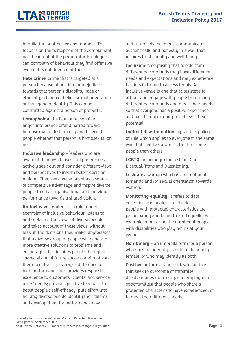# **LTAR** BRITISH

humiliating or offensive environment. The focus is on the perception of the complainant not the intent of the perpetrator. Employees can complain of behaviour they find offensive even if it is not directed at them.

**Hate crime**: crime that is targeted at a person because of hostility or prejudice towards that person's disability, race or ethnicity, religion or belief, sexual orientation or transgender identity. This can be committed against a person or property.

**Homophobia**: the fear, unreasonable anger, intolerance or/and hatred toward homosexuality, lesbian gay and bisexual people whether that person is homosexual or not.

**Inclusive leadership** – leaders who are aware of their own biases and preferences, actively seek out and consider different views and perspectives to inform better decisionmaking. They see diverse talent as a source of competitive advantage and inspire diverse people to drive organisational and individual performance towards a shared vision.

**An Inclusive Leader** – is a role model exemplar of inclusive behaviour; listens to and seeks out the views of diverse people and takes account of these views, without bias, in the decisions they make; appreciates that a diverse group of people will generate more creative solutions to problems and encourages this; inspires people through a shared vision of future success and motivates them to deliver it; leverages difference for high performance and provides responsive excellence to customers', clients' and service users' needs; provides positive feedback to boost people's self-efficacy; puts effort into helping diverse people identify their talents and develop them for performance now

and future advancement; communicates authentically and honestly in a way that inspires trust, loyalty and well-being.

**Inclusion**: recognising that people from different backgrounds may have difference needs and expectations and may experience barriers in trying to access tennis. An inclusive venue is one that takes steps to attract and engage with people from many different backgrounds and meet their needs so that everyone has a positive experience and has the opportunity to achieve their potential.

**Indirect discrimination**: a practice, policy or rule which applies to everyone in the same way, but that has a worse effect on some people than others.

**LGBTQ**: an acronym for Lesbian, Gay, Bisexual, Trans and Questioning.

**Lesbian**: a woman who has an emotional romantic and /or sexual orientation towards women.

**Monitoring equality**: it refers to data collection and analysis to check if people with protected characteristics are participating and being treated equally. For example: monitoring the number of people with disabilities who play tennis at your venue.

**Non-binary** – an umbrella term for a person who does not identify as only male or only female, or who may identify as both.

**Positive action**: a range of lawful actions that seek to overcome or minimise disadvantages (for example in employment opportunities) that people who share a protected characteristic have experienced, or to meet their different needs.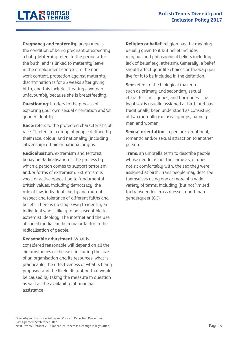**LTAREBRITISH** 

**Pregnancy and maternity**: pregnancy is the condition of being pregnant or expecting a baby. Maternity refers to the period after the birth, and is linked to maternity leave in the employment context. In the nonwork context, protection against maternity discrimination is for 26 weeks after giving birth, and this includes treating a woman unfavourably because she is breastfeeding.

**Questioning**: it refers to the process of exploring your own sexual orientation and/or gender identity.

**Race**: refers to the protected characteristic of race. It refers to a group of people defined by their race, colour, and nationality (including citizenship) ethnic or national origins.

**Radicalisation**, extremism and terrorist behavior: Radicalisation is the process by which a person comes to support terrorism and/or forms of extremism. Extremism is vocal or active opposition to fundamental British values, including democracy, the rule of law, individual liberty and mutual respect and tolerance of different faiths and beliefs. There is no single way to identify an individual who is likely to be susceptible to extremist ideology. The internet and the use of social media can be a major factor in the radicalisation of people.

#### **Reasonable adjustment**: What is

considered reasonable will depend on all the circumstances of the case including the size of an organisation and its resources, what is practicable, the effectiveness of what is being proposed and the likely disruption that would be caused by taking the measure in question as well as the availability of financial assistance

**Religion or belief**: religion has the meaning usually given to it but belief includes religious and philosophical beliefs including lack of belief (e.g. atheism). Generally, a belief should affect your life choices or the way you live for it to be included in the definition.

**Sex**: refers to the biological makeup such as primary and secondary sexual characteristics, genes, and hormones. The legal sex is usually assigned at birth and has traditionally been understood as consisting of two mutually exclusive groups, namely men and women.

**Sexual orientation**: a person's emotional, romantic and/or sexual attraction to another person.

**Trans**: an umbrella term to describe people whose gender is not the same as, or does not sit comfortably with, the sex they were assigned at birth. Trans people may describe themselves using one or more of a wide variety of terms, including (but not limited to) transgender, cross dresser, non-binary, genderqueer (GQ).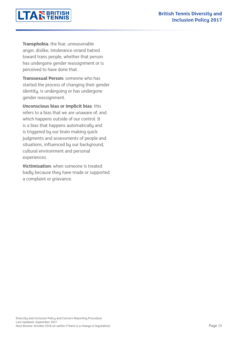

**Transphobia**: the fear, unreasonable anger, dislike, intolerance or/and hatred toward trans people, whether that person has undergone gender reassignment or is perceived to have done that.

**Transsexual Person:** someone who has started the process of changing their gender identity, is undergoing or has undergone gender reassignment.

**Unconscious bias or implicit bias**: this refers to a bias that we are unaware of, and which happens outside of our control. It is a bias that happens automatically and is triggered by our brain making quick judgments and assessments of people and situations, influenced by our background, cultural environment and personal experiences.

**Victimisation**: when someone is treated badly because they have made or supported a complaint or grievance.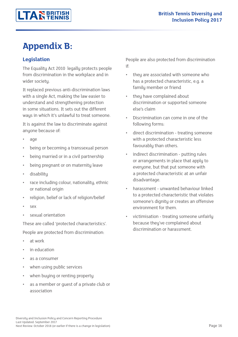# **Appendix B:**

#### **Legislation**

The Equality Act 2010 legally protects people from discrimination in the workplace and in wider society.

It replaced previous anti-discrimination laws with a single Act, making the law easier to understand and strengthening protection in some situations. It sets out the different ways in which it's unlawful to treat someone.

It is against the law to discriminate against anuone because of:

- age
- being or becoming a transsexual person
- being married or in a civil partnership
- being pregnant or on maternity leave
- disability
- race including colour, nationality, ethnic or national origin
- religion, belief or lack of religion/belief
- sex.
- sexual orientation

These are called 'protected characteristics'. People are protected from discrimination:

- at work
- in education
- as a consumer
- when using public services
- when buying or renting property
- as a member or quest of a private club or association

People are also protected from discrimination if:

- they are associated with someone who has a protected characteristic, e.g. a family member or friend
- they have complained about discrimination or supported someone else's claim
- Discrimination can come in one of the following forms:
- direct discrimination treating someone with a protected characteristic less favourably than others.
- indirect discrimination putting rules or arrangements in place that apply to everyone, but that put someone with a protected characteristic at an unfair disadvantage.
- harassment unwanted behaviour linked to a protected characteristic that violates someone's dignity or creates an offensive environment for them.
- victimisation treating someone unfairly because they've complained about discrimination or harassment.